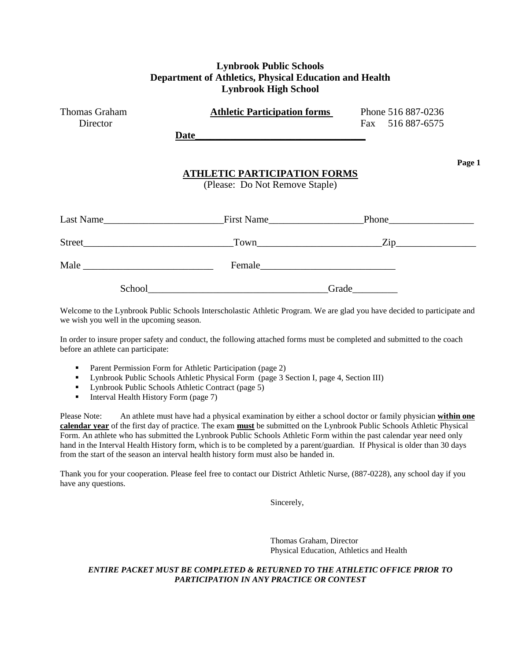| <b>Lynbrook Public Schools</b><br>Department of Athletics, Physical Education and Health<br><b>Lynbrook High School</b> |                                                                                                                                                                                                                                                                      |                                        |  |  |  |
|-------------------------------------------------------------------------------------------------------------------------|----------------------------------------------------------------------------------------------------------------------------------------------------------------------------------------------------------------------------------------------------------------------|----------------------------------------|--|--|--|
| Thomas Graham<br>Director                                                                                               | <b>Athletic Participation forms</b><br>Date has been a series of the series of the series of the series of the series of the series of the series of the series of the series of the series of the series of the series of the series of the series of the series of | Phone 516 887-0236<br>Fax 516 887-6575 |  |  |  |
|                                                                                                                         | <b>ATHLETIC PARTICIPATION FORMS</b><br>(Please: Do Not Remove Staple)                                                                                                                                                                                                | Page 1                                 |  |  |  |
|                                                                                                                         |                                                                                                                                                                                                                                                                      |                                        |  |  |  |
|                                                                                                                         |                                                                                                                                                                                                                                                                      | $Town$ $Zip$ $\longrightarrow$         |  |  |  |
|                                                                                                                         |                                                                                                                                                                                                                                                                      |                                        |  |  |  |
|                                                                                                                         | School and the state of the state of the state of the state of the state of the state of the state of the state of the state of the state of the state of the state of the state of the state of the state of the state of the                                       | Grade                                  |  |  |  |

Welcome to the Lynbrook Public Schools Interscholastic Athletic Program. We are glad you have decided to participate and we wish you well in the upcoming season.

In order to insure proper safety and conduct, the following attached forms must be completed and submitted to the coach before an athlete can participate:

- Parent Permission Form for Athletic Participation (page 2)
- **Exercise Fublic Schools Athletic Physical Form (page 3 Section I, page 4, Section III)**
- **Lynbrook Public Schools Athletic Contract (page 5)**
- Interval Health History Form (page 7)

Please Note: An athlete must have had a physical examination by either a school doctor or family physician **within one calendar year** of the first day of practice. The exam **must** be submitted on the Lynbrook Public Schools Athletic Physical Form. An athlete who has submitted the Lynbrook Public Schools Athletic Form within the past calendar year need only hand in the Interval Health History form, which is to be completed by a parent/guardian. If Physical is older than 30 days from the start of the season an interval health history form must also be handed in.

Thank you for your cooperation. Please feel free to contact our District Athletic Nurse, (887-0228), any school day if you have any questions.

Sincerely,

Thomas Graham, Director Physical Education, Athletics and Health

### *ENTIRE PACKET MUST BE COMPLETED & RETURNED TO THE ATHLETIC OFFICE PRIOR TO PARTICIPATION IN ANY PRACTICE OR CONTEST*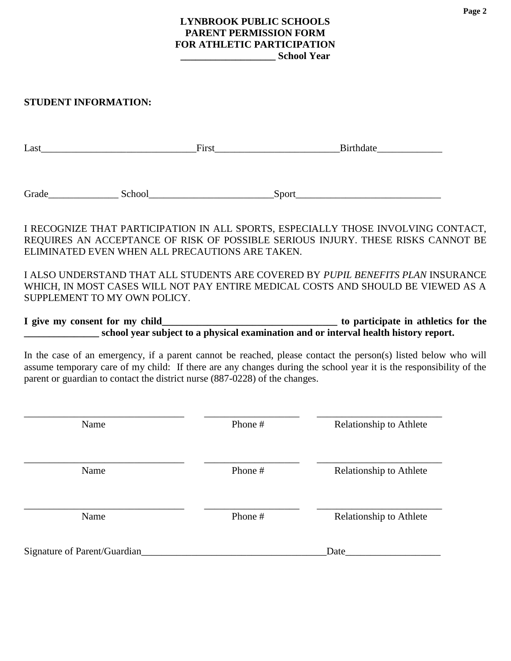# **LYNBROOK PUBLIC SCHOOLS PARENT PERMISSION FORM FOR ATHLETIC PARTICIPATION \_\_\_\_\_\_\_\_\_\_\_\_\_\_\_\_\_\_\_ School Year**

# **STUDENT INFORMATION:**

| $Last \_\_\_\_\_\_\_\_$ | $First \_\_$                                                                      |       |  |
|-------------------------|-----------------------------------------------------------------------------------|-------|--|
|                         |                                                                                   |       |  |
|                         | Grade School                                                                      | Sport |  |
|                         |                                                                                   |       |  |
|                         | I RECOGNIZE THAT PARTICIPATION IN ALL SPORTS, ESPECIALLY THOSE INVOLVING CONTACT, |       |  |
|                         | REQUIRES AN ACCEPTANCE OF RISK OF POSSIBLE SERIOUS INJURY. THESE RISKS CANNOT BE  |       |  |
|                         | ELIMINATED EVEN WHEN ALL PRECAUTIONS ARE TAKEN.                                   |       |  |

I ALSO UNDERSTAND THAT ALL STUDENTS ARE COVERED BY *PUPIL BENEFITS PLAN* INSURANCE WHICH, IN MOST CASES WILL NOT PAY ENTIRE MEDICAL COSTS AND SHOULD BE VIEWED AS A SUPPLEMENT TO MY OWN POLICY.

**I give my consent for my child\_\_\_\_\_\_\_\_\_\_\_\_\_\_\_\_\_\_\_\_\_\_\_\_\_\_\_\_\_\_\_\_\_\_\_ to participate in athletics for the \_\_\_\_\_\_\_\_\_\_\_\_\_\_\_** school year subject to a physical examination and or interval health history report.

In the case of an emergency, if a parent cannot be reached, please contact the person(s) listed below who will assume temporary care of my child: If there are any changes during the school year it is the responsibility of the parent or guardian to contact the district nurse (887-0228) of the changes.

| Name                         | Phone # | Relationship to Athlete |
|------------------------------|---------|-------------------------|
| Name                         | Phone # | Relationship to Athlete |
| Name                         | Phone # | Relationship to Athlete |
| Signature of Parent/Guardian |         | Date                    |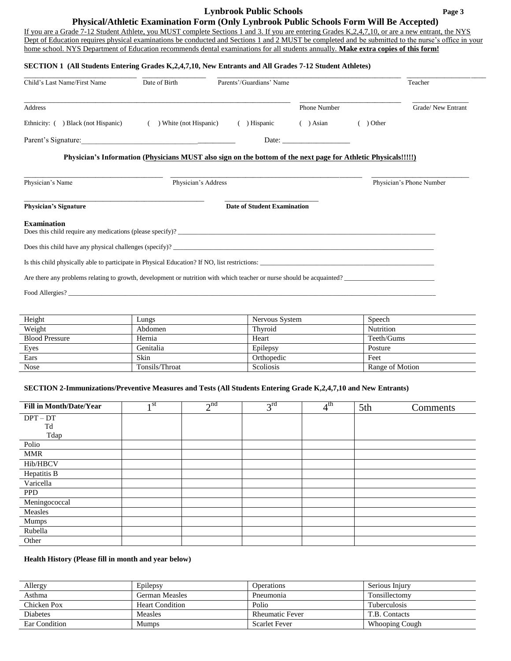# **Lynbrook Public Schools Page 3**

**Physical/Athletic Examination Form (Only Lynbrook Public Schools Form Will Be Accepted)**

If you are a Grade 7-12 Student Athlete, you MUST complete Sections 1 and 3. If you are entering Grades K,2,4,7,10, or are a new entrant, the NYS Dept of Education requires physical examinations be conducted and Sections 1 and 2 MUST be completed and be submitted to the nurse's office in your home school. NYS Department of Education recommends dental examinations for all students annually. **Make extra copies of this form!**

## **SECTION 1 (All Students Entering Grades K,2,4,7,10, New Entrants and All Grades 7-12 Student Athletes)**

| Child's Last Name/First Name                                                                                          | Date of Birth                                                                                                  | Parents'/Guardians' Name           |                     |         | Teacher                  |
|-----------------------------------------------------------------------------------------------------------------------|----------------------------------------------------------------------------------------------------------------|------------------------------------|---------------------|---------|--------------------------|
| <b>Address</b>                                                                                                        |                                                                                                                |                                    | <b>Phone Number</b> |         | Grade/New Entrant        |
| Ethnicity: () Black (not Hispanic)                                                                                    | ) White (not Hispanic)<br>$\left($                                                                             | ( ) Hispanic                       | $( )$ Asian         | ) Other |                          |
| Parent's Signature:                                                                                                   |                                                                                                                |                                    |                     |         |                          |
|                                                                                                                       | Physician's Information (Physicians MUST also sign on the bottom of the next page for Athletic Physicals!!!!!) |                                    |                     |         |                          |
|                                                                                                                       |                                                                                                                |                                    |                     |         |                          |
| Physician's Name                                                                                                      | Physician's Address                                                                                            |                                    |                     |         | Physician's Phone Number |
| <b>Physician's Signature</b>                                                                                          |                                                                                                                | <b>Date of Student Examination</b> |                     |         |                          |
|                                                                                                                       |                                                                                                                |                                    |                     |         |                          |
|                                                                                                                       |                                                                                                                |                                    |                     |         |                          |
|                                                                                                                       |                                                                                                                |                                    |                     |         |                          |
| <b>Examination</b><br>Is this child physically able to participate in Physical Education? If NO, list restrictions:   |                                                                                                                |                                    |                     |         |                          |
| Are there any problems relating to growth, development or nutrition with which teacher or nurse should be acquainted? |                                                                                                                |                                    |                     |         |                          |

| Height                | Lungs          | Nervous System   | Speech          |
|-----------------------|----------------|------------------|-----------------|
| Weight                | Abdomen        | Thyroid          | Nutrition       |
| <b>Blood Pressure</b> | Hernia         | Heart            | Teeth/Gums      |
| Eyes                  | Genitalia      | Epilepsy         | Posture         |
| Ears                  | Skin           | Orthopedic       | Feet            |
| <b>Nose</b>           | Tonsils/Throat | <b>Scoliosis</b> | Range of Motion |

### **SECTION 2-Immunizations/Preventive Measures and Tests (All Students Entering Grade K,2,4,7,10 and New Entrants)**

| <b>Fill in Month/Date/Year</b> | 1 <sup>st</sup> | 2 <sup>nd</sup> | $3^{\text{rd}}$ | 4 <sup>th</sup> | 5th | Comments |
|--------------------------------|-----------------|-----------------|-----------------|-----------------|-----|----------|
| $DPT - DT$                     |                 |                 |                 |                 |     |          |
| Td                             |                 |                 |                 |                 |     |          |
| Tdap                           |                 |                 |                 |                 |     |          |
| Polio                          |                 |                 |                 |                 |     |          |
| <b>MMR</b>                     |                 |                 |                 |                 |     |          |
| Hib/HBCV                       |                 |                 |                 |                 |     |          |
| Hepatitis B                    |                 |                 |                 |                 |     |          |
| Varicella                      |                 |                 |                 |                 |     |          |
| <b>PPD</b>                     |                 |                 |                 |                 |     |          |
| Meningococcal                  |                 |                 |                 |                 |     |          |
| Measles                        |                 |                 |                 |                 |     |          |
| Mumps                          |                 |                 |                 |                 |     |          |
| Rubella                        |                 |                 |                 |                 |     |          |
| Other                          |                 |                 |                 |                 |     |          |

#### **Health History (Please fill in month and year below)**

| Allergy              | Epilepsy               | <b>Operations</b>      | Serious Injury        |
|----------------------|------------------------|------------------------|-----------------------|
| Asthma               | German Measles         | Pneumonia              | Tonsillectomy         |
| Chicken Pox          | <b>Heart Condition</b> | Polio                  | <b>Tuberculosis</b>   |
| Diabetes             | <b>Measles</b>         | <b>Rheumatic Fever</b> | T.B. Contacts         |
| <b>Ear Condition</b> | Mumps                  | <b>Scarlet Fever</b>   | <b>Whooping Cough</b> |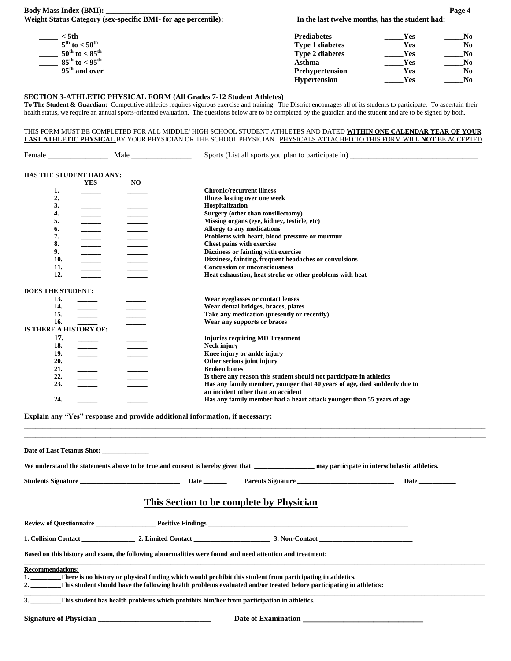# **Body Mass Index (BMI):** Page 4 **Weight Status Category (sex-specific BMI- for age percentile): In the last twelve months, has the student had:**

| : 5th                                 | <b>Prediabetes</b>     | Yes        | Nο |
|---------------------------------------|------------------------|------------|----|
| $5^{\text{th}}$ to $< 50^{\text{th}}$ | <b>Type 1 diabetes</b> | <b>Yes</b> | No |
| $50^{\rm th}$ to $< 85^{\rm th}$      | <b>Type 2 diabetes</b> | <b>Yes</b> | No |
| $85^{\rm th}$ to $< 95^{\rm th}$      | Asthma                 | Yes        | No |
| 95 <sup>th</sup> and over             | Prehypertension        | Yes        | No |
|                                       | <b>Hypertension</b>    | Yes        | No |

### **SECTION 3-ATHLETIC PHYSICAL FORM (All Grades 7-12 Student Athletes)**

**To The Student & Guardian:** Competitive athletics requires vigorous exercise and training. The District encourages all of its students to participate. To ascertain their health status, we require an annual sports-oriented evaluation. The questions below are to be completed by the guardian and the student and are to be signed by both.

THIS FORM MUST BE COMPLETED FOR ALL MIDDLE/ HIGH SCHOOL STUDENT ATHLETES AND DATED **WITHIN ONE CALENDAR YEAR OF YOUR LAST ATHLETIC PHYSICAL** BY YOUR PHYSICIAN OR THE SCHOOL PHYSICIAN. PHYSICALS ATTACHED TO THIS FORM WILL **NOT** BE ACCEPTED.

|  | HAS THE STUDENT HAD ANY: |  |
|--|--------------------------|--|

| HAS INE SIUDENI HAD ANI; |            |     |                                                                           |
|--------------------------|------------|-----|---------------------------------------------------------------------------|
|                          | <b>YES</b> | NO. |                                                                           |
| 1.                       |            |     | <b>Chronic/recurrent illness</b>                                          |
| 2.                       |            |     | <b>Illness lasting over one week</b>                                      |
| 3.                       |            |     | Hospitalization                                                           |
| 4.                       |            |     | Surgery (other than tonsillectomy)                                        |
| 5.                       |            |     | Missing organs (eye, kidney, testicle, etc)                               |
| 6.                       |            |     | Allergy to any medications                                                |
| 7.                       |            |     | Problems with heart, blood pressure or murmur                             |
| 8.                       |            |     | Chest pains with exercise                                                 |
| 9.                       |            |     | Dizziness or fainting with exercise                                       |
| 10.                      |            |     | Dizziness, fainting, frequent headaches or convulsions                    |
| 11.                      |            |     | <b>Concussion or unconsciousness</b>                                      |
| 12.                      |            |     | Heat exhaustion, heat stroke or other problems with heat                  |
|                          |            |     |                                                                           |
| <b>DOES THE STUDENT:</b> |            |     |                                                                           |
| 13.                      |            |     | Wear eyeglasses or contact lenses                                         |
| 14.                      |            |     | Wear dental bridges, braces, plates                                       |
| 15.                      |            |     | Take any medication (presently or recently)                               |
| 16.                      |            |     | Wear any supports or braces                                               |
| IS THERE A HISTORY OF:   |            |     |                                                                           |
| 17.                      |            |     | <b>Injuries requiring MD Treatment</b>                                    |
| 18.                      |            |     | Neck injury                                                               |
| 19.                      |            |     | Knee injury or ankle injury                                               |
| 20.                      | $\equiv$   |     | Other serious joint injury                                                |
| 21.                      |            |     | <b>Broken</b> bones                                                       |
| 22.                      | $\equiv$   |     | Is there any reason this student should not participate in athletics      |
| 23.                      |            |     | Has any family member, younger that 40 years of age, died suddenly due to |
|                          |            |     | an incident other than an accident                                        |
| 24.                      |            |     | Has any family member had a heart attack younger than 55 years of age     |
|                          |            |     |                                                                           |

**Explain any "Yes" response and provide additional information, if necessary:** 

| Date of Last Tetanus Shot:                                                                                                                                                                                                                                        |                                          |                                                                                                                                                   |
|-------------------------------------------------------------------------------------------------------------------------------------------------------------------------------------------------------------------------------------------------------------------|------------------------------------------|---------------------------------------------------------------------------------------------------------------------------------------------------|
|                                                                                                                                                                                                                                                                   |                                          | We understand the statements above to be true and consent is hereby given that ____________________ may participate in interscholastic athletics. |
|                                                                                                                                                                                                                                                                   |                                          | <b>Date</b> and <b>Date</b>                                                                                                                       |
|                                                                                                                                                                                                                                                                   | This Section to be complete by Physician |                                                                                                                                                   |
|                                                                                                                                                                                                                                                                   |                                          |                                                                                                                                                   |
| 1. Collision Contact 2. Limited Contact 2. Limited Contact 2. 2. Limited Contact 2. 2. Limited Contact 2. 2. Limited Contact 2. 2. Limited Contact 2. 2. Limited Contact 2. 2. Limited Contact 2. 2. Limited Contact 2. 2. Lim                                    |                                          |                                                                                                                                                   |
| Based on this history and exam, the following abnormalities were found and need attention and treatment:                                                                                                                                                          |                                          |                                                                                                                                                   |
| <b>Recommendations:</b><br>1. There is no history or physical finding which would prohibit this student from participating in athletics.<br>2. This student should have the following health problems evaluated and/or treated before participating in athletics: |                                          |                                                                                                                                                   |
| 3. This student has health problems which prohibits him/her from participation in athletics.                                                                                                                                                                      |                                          |                                                                                                                                                   |
| <b>Signature of Physician</b>                                                                                                                                                                                                                                     | Date of Examination                      |                                                                                                                                                   |

**\_\_\_\_\_\_\_\_\_\_\_\_\_\_\_\_\_\_\_\_\_\_\_\_\_\_\_\_\_\_\_\_\_\_\_\_\_\_\_\_\_\_\_\_\_\_\_\_\_\_\_\_\_\_\_\_\_\_\_\_\_\_\_\_\_\_\_\_\_\_\_\_\_\_\_\_\_\_\_\_\_\_\_\_\_\_\_\_\_\_\_\_\_\_\_\_\_\_\_\_\_\_\_\_\_\_\_\_\_\_\_\_\_\_\_\_\_\_\_\_\_\_\_ \_\_\_\_\_\_\_\_\_\_\_\_\_\_\_\_\_\_\_\_\_\_\_\_\_\_\_\_\_\_\_\_\_\_\_\_\_\_\_\_\_\_\_\_\_\_\_\_\_\_\_\_\_\_\_\_\_\_\_\_\_\_\_\_\_\_\_\_\_\_\_\_\_\_\_\_\_\_\_\_\_\_\_\_\_\_\_\_\_\_\_\_\_\_\_\_\_\_\_\_\_\_\_\_\_\_\_\_\_\_\_\_\_\_\_\_\_\_\_\_\_\_\_**

Female \_\_\_\_\_\_\_\_\_\_\_\_\_\_\_\_ Male \_\_\_\_\_\_\_\_\_\_\_\_\_\_\_\_ Sports (List all sports you plan to participate in) \_\_\_\_\_\_\_\_\_\_\_\_\_\_\_\_\_\_\_\_\_\_\_\_\_\_\_\_\_\_\_\_\_\_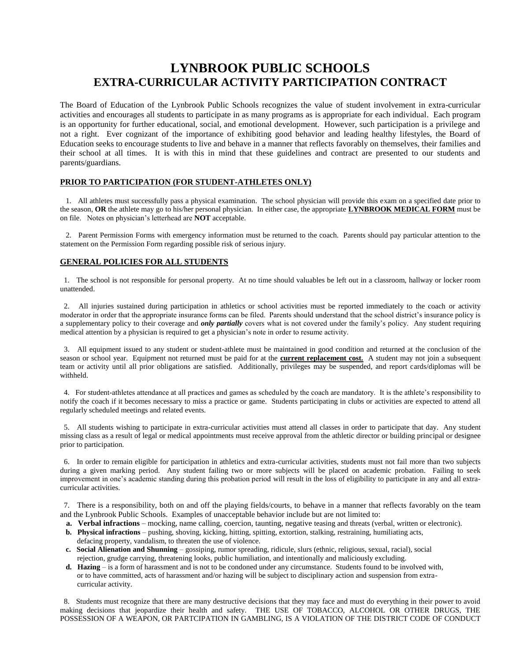# **LYNBROOK PUBLIC SCHOOLS EXTRA-CURRICULAR ACTIVITY PARTICIPATION CONTRACT**

The Board of Education of the Lynbrook Public Schools recognizes the value of student involvement in extra-curricular activities and encourages all students to participate in as many programs as is appropriate for each individual. Each program is an opportunity for further educational, social, and emotional development. However, such participation is a privilege and not a right. Ever cognizant of the importance of exhibiting good behavior and leading healthy lifestyles, the Board of Education seeks to encourage students to live and behave in a manner that reflects favorably on themselves, their families and their school at all times. It is with this in mind that these guidelines and contract are presented to our students and parents/guardians.

### **PRIOR TO PARTICIPATION (FOR STUDENT-ATHLETES ONLY)**

 1. All athletes must successfully pass a physical examination. The school physician will provide this exam on a specified date prior to the season, **OR** the athlete may go to his/her personal physician. In either case, the appropriate **LYNBROOK MEDICAL FORM** must be on file. Notes on physician's letterhead are **NOT** acceptable.

 2. Parent Permission Forms with emergency information must be returned to the coach. Parents should pay particular attention to the statement on the Permission Form regarding possible risk of serious injury.

### **GENERAL POLICIES FOR ALL STUDENTS**

 1. The school is not responsible for personal property. At no time should valuables be left out in a classroom, hallway or locker room unattended.

 2. All injuries sustained during participation in athletics or school activities must be reported immediately to the coach or activity moderator in order that the appropriate insurance forms can be filed. Parents should understand that the school district's insurance policy is a supplementary policy to their coverage and *only partially* covers what is not covered under the family's policy. Any student requiring medical attention by a physician is required to get a physician's note in order to resume activity.

 3. All equipment issued to any student or student-athlete must be maintained in good condition and returned at the conclusion of the season or school year. Equipment not returned must be paid for at the **current replacement cost.** A student may not join a subsequent team or activity until all prior obligations are satisfied. Additionally, privileges may be suspended, and report cards/diplomas will be withheld.

 4. For student-athletes attendance at all practices and games as scheduled by the coach are mandatory. It is the athlete's responsibility to notify the coach if it becomes necessary to miss a practice or game. Students participating in clubs or activities are expected to attend all regularly scheduled meetings and related events.

 5. All students wishing to participate in extra-curricular activities must attend all classes in order to participate that day. Any student missing class as a result of legal or medical appointments must receive approval from the athletic director or building principal or designee prior to participation.

 6. In order to remain eligible for participation in athletics and extra-curricular activities, students must not fail more than two subjects during a given marking period. Any student failing two or more subjects will be placed on academic probation. Failing to seek improvement in one's academic standing during this probation period will result in the loss of eligibility to participate in any and all extracurricular activities.

 7. There is a responsibility, both on and off the playing fields/courts, to behave in a manner that reflects favorably on the team and the Lynbrook Public Schools. Examples of unacceptable behavior include but are not limited to:

- **a. Verbal infractions** mocking, name calling, coercion, taunting, negative teasing and threats (verbal, written or electronic).
- **b. Physical infractions** pushing, shoving, kicking, hitting, spitting, extortion, stalking, restraining, humiliating acts, defacing property, vandalism, to threaten the use of violence.
- **c. Social Alienation and Shunning** gossiping, rumor spreading, ridicule, slurs (ethnic, religious, sexual, racial), social rejection, grudge carrying, threatening looks, public humiliation, and intentionally and maliciously excluding.
- **d. Hazing** is a form of harassment and is not to be condoned under any circumstance. Students found to be involved with, or to have committed, acts of harassment and/or hazing will be subject to disciplinary action and suspension from extra curricular activity.

 8. Students must recognize that there are many destructive decisions that they may face and must do everything in their power to avoid making decisions that jeopardize their health and safety. THE USE OF TOBACCO, ALCOHOL OR OTHER DRUGS, THE POSSESSION OF A WEAPON, OR PARTCIPATION IN GAMBLING, IS A VIOLATION OF THE DISTRICT CODE OF CONDUCT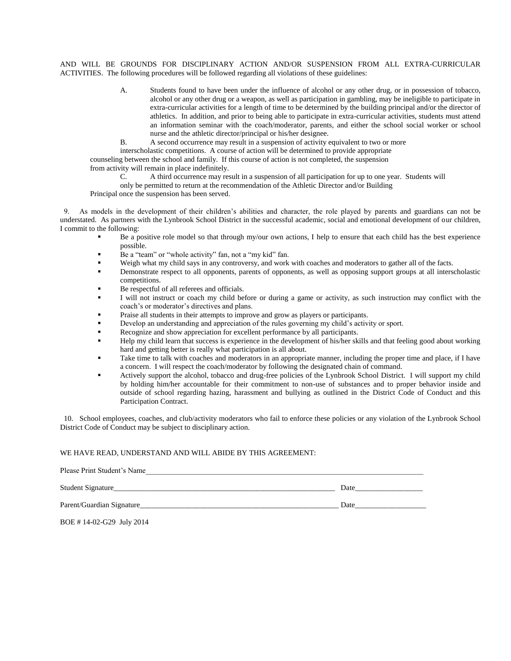AND WILL BE GROUNDS FOR DISCIPLINARY ACTION AND/OR SUSPENSION FROM ALL EXTRA-CURRICULAR ACTIVITIES. The following procedures will be followed regarding all violations of these guidelines:

- A. Students found to have been under the influence of alcohol or any other drug, or in possession of tobacco, alcohol or any other drug or a weapon, as well as participation in gambling, may be ineligible to participate in extra-curricular activities for a length of time to be determined by the building principal and/or the director of athletics. In addition, and prior to being able to participate in extra-curricular activities, students must attend an information seminar with the coach/moderator, parents, and either the school social worker or school nurse and the athletic director/principal or his/her designee.
- B. A second occurrence may result in a suspension of activity equivalent to two or more

interscholastic competitions. A course of action will be determined to provide appropriate

counseling between the school and family. If this course of action is not completed, the suspension

from activity will remain in place indefinitely.

C. A third occurrence may result in a suspension of all participation for up to one year. Students will

only be permitted to return at the recommendation of the Athletic Director and/or Building

Principal once the suspension has been served.

 9. As models in the development of their children's abilities and character, the role played by parents and guardians can not be understated. As partners with the Lynbrook School District in the successful academic, social and emotional development of our children, I commit to the following:

- Be a positive role model so that through my/our own actions, I help to ensure that each child has the best experience possible.
- Be a "team" or "whole activity" fan, not a "my kid" fan.
- Weigh what my child says in any controversy, and work with coaches and moderators to gather all of the facts.
- Demonstrate respect to all opponents, parents of opponents, as well as opposing support groups at all interscholastic competitions.
- Be respectful of all referees and officials.
- I will not instruct or coach my child before or during a game or activity, as such instruction may conflict with the coach's or moderator's directives and plans.
- Praise all students in their attempts to improve and grow as players or participants.
- Develop an understanding and appreciation of the rules governing my child's activity or sport.
- Recognize and show appreciation for excellent performance by all participants.
- Help my child learn that success is experience in the development of his/her skills and that feeling good about working hard and getting better is really what participation is all about.
- Take time to talk with coaches and moderators in an appropriate manner, including the proper time and place, if I have a concern. I will respect the coach/moderator by following the designated chain of command.
- Actively support the alcohol, tobacco and drug-free policies of the Lynbrook School District. I will support my child by holding him/her accountable for their commitment to non-use of substances and to proper behavior inside and outside of school regarding hazing, harassment and bullying as outlined in the District Code of Conduct and this Participation Contract.

 10. School employees, coaches, and club/activity moderators who fail to enforce these policies or any violation of the Lynbrook School District Code of Conduct may be subject to disciplinary action.

### WE HAVE READ, UNDERSTAND AND WILL ABIDE BY THIS AGREEMENT:

Please Print Student's Name Student Signature\_\_\_\_\_\_\_\_\_\_\_\_\_\_\_\_\_\_\_\_\_\_\_\_\_\_\_\_\_\_\_\_\_\_\_\_\_\_\_\_\_\_\_\_\_\_\_\_\_\_\_\_\_\_\_\_\_\_\_ Date\_\_\_\_\_\_\_\_\_\_\_\_\_\_\_\_\_\_ Parent/Guardian Signature\_\_\_\_\_\_\_\_\_\_\_\_\_\_\_\_\_\_\_\_\_\_\_\_\_\_\_\_\_\_\_\_\_\_\_\_\_\_\_\_\_\_\_\_\_\_\_\_\_\_\_\_\_ Date\_\_\_\_\_\_\_\_\_\_\_\_\_\_\_\_\_\_\_

BOE # 14-02-G29 July 2014